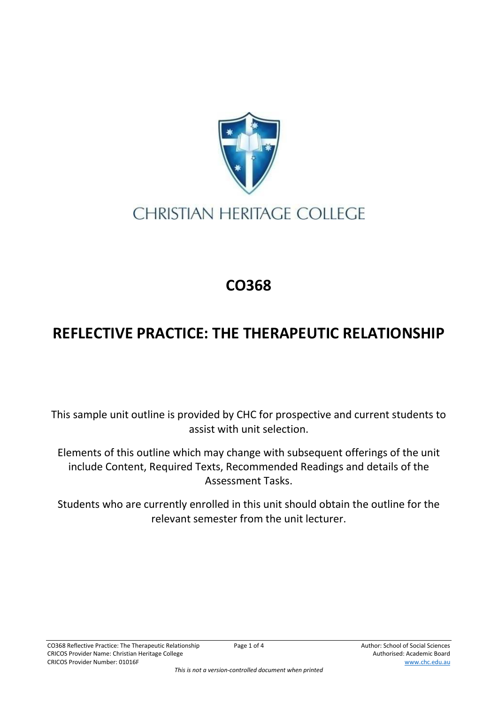

## **CHRISTIAN HERITAGE COLLEGE**

## **CO368**

## **REFLECTIVE PRACTICE: THE THERAPEUTIC RELATIONSHIP**

This sample unit outline is provided by CHC for prospective and current students to assist with unit selection.

Elements of this outline which may change with subsequent offerings of the unit include Content, Required Texts, Recommended Readings and details of the Assessment Tasks.

Students who are currently enrolled in this unit should obtain the outline for the relevant semester from the unit lecturer.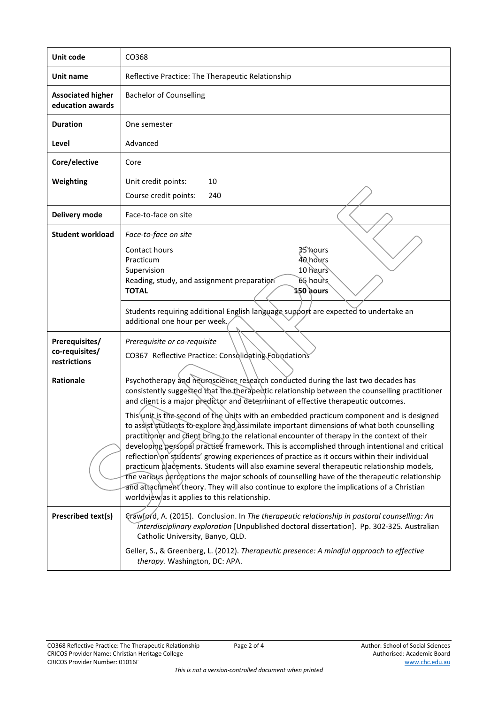| Unit code                                        | CO368                                                                                                                                                                                                                                                                                                                                                                                                                                                                                                                                                                                                                                                                                                                                                                                                                                                                                                                                                                                                                                                                                                                                                                                                                                                                                                                                                                                                                                                                            |
|--------------------------------------------------|----------------------------------------------------------------------------------------------------------------------------------------------------------------------------------------------------------------------------------------------------------------------------------------------------------------------------------------------------------------------------------------------------------------------------------------------------------------------------------------------------------------------------------------------------------------------------------------------------------------------------------------------------------------------------------------------------------------------------------------------------------------------------------------------------------------------------------------------------------------------------------------------------------------------------------------------------------------------------------------------------------------------------------------------------------------------------------------------------------------------------------------------------------------------------------------------------------------------------------------------------------------------------------------------------------------------------------------------------------------------------------------------------------------------------------------------------------------------------------|
| Unit name                                        | Reflective Practice: The Therapeutic Relationship                                                                                                                                                                                                                                                                                                                                                                                                                                                                                                                                                                                                                                                                                                                                                                                                                                                                                                                                                                                                                                                                                                                                                                                                                                                                                                                                                                                                                                |
| <b>Associated higher</b><br>education awards     | <b>Bachelor of Counselling</b>                                                                                                                                                                                                                                                                                                                                                                                                                                                                                                                                                                                                                                                                                                                                                                                                                                                                                                                                                                                                                                                                                                                                                                                                                                                                                                                                                                                                                                                   |
| <b>Duration</b>                                  | One semester                                                                                                                                                                                                                                                                                                                                                                                                                                                                                                                                                                                                                                                                                                                                                                                                                                                                                                                                                                                                                                                                                                                                                                                                                                                                                                                                                                                                                                                                     |
| Level                                            | Advanced                                                                                                                                                                                                                                                                                                                                                                                                                                                                                                                                                                                                                                                                                                                                                                                                                                                                                                                                                                                                                                                                                                                                                                                                                                                                                                                                                                                                                                                                         |
| Core/elective                                    | Core                                                                                                                                                                                                                                                                                                                                                                                                                                                                                                                                                                                                                                                                                                                                                                                                                                                                                                                                                                                                                                                                                                                                                                                                                                                                                                                                                                                                                                                                             |
| Weighting                                        | 10<br>Unit credit points:<br>Course credit points:<br>240                                                                                                                                                                                                                                                                                                                                                                                                                                                                                                                                                                                                                                                                                                                                                                                                                                                                                                                                                                                                                                                                                                                                                                                                                                                                                                                                                                                                                        |
| Delivery mode                                    | Face-to-face on site                                                                                                                                                                                                                                                                                                                                                                                                                                                                                                                                                                                                                                                                                                                                                                                                                                                                                                                                                                                                                                                                                                                                                                                                                                                                                                                                                                                                                                                             |
| <b>Student workload</b>                          | Face-to-face on site<br>Contact hours<br>35 hours<br>40 hours<br>Practicum<br>10 hours<br>Supervision<br>65 hours<br>Reading, study, and assignment preparation<br>ኔ50 hours<br><b>TOTAL</b><br>Students requiring additional English language support are expected to undertake an<br>additional one hour per week.,                                                                                                                                                                                                                                                                                                                                                                                                                                                                                                                                                                                                                                                                                                                                                                                                                                                                                                                                                                                                                                                                                                                                                            |
| Prerequisites/<br>co-requisites/<br>restrictions | Prerequisite or co-requisite<br>CO367 Reflective Practice: Consolidating Foundations                                                                                                                                                                                                                                                                                                                                                                                                                                                                                                                                                                                                                                                                                                                                                                                                                                                                                                                                                                                                                                                                                                                                                                                                                                                                                                                                                                                             |
| <b>Rationale</b><br>Prescribed text(s)           | Psychotherapy and neuroscience research conducted during the last two decades has<br>consistently suggested that the therapeutic relationship between the counselling practitioner<br>and client is a major predictor and determinant of effective therapeutic outcomes.<br>This unit is the second of the units with an embedded practicum component and is designed<br>to assist students to explore and assimilate important dimensions of what both counselling<br>practitioner and client bring to the relational encounter of therapy in the context of their<br>developing personal practice framework. This is accomplished through intentional and critical<br>reflection on students' growing experiences of practice as it occurs within their individual<br>practicum placements. Students will also examine several therapeutic relationship models,<br>the various perceptions the major schools of counselling have of the therapeutic relationship<br>and attachment theory. They will also continue to explore the implications of a Christian<br>worldview/as it applies to this relationship.<br>Crawford, A. (2015). Conclusion. In The therapeutic relationship in pastoral counselling: An<br>interdisciplinary exploration [Unpublished doctoral dissertation]. Pp. 302-325. Australian<br>Catholic University, Banyo, QLD.<br>Geller, S., & Greenberg, L. (2012). Therapeutic presence: A mindful approach to effective<br>therapy. Washington, DC: APA. |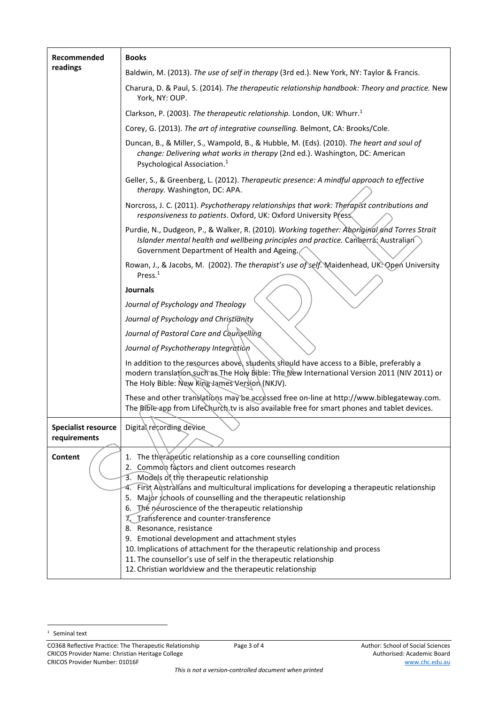| Recommended<br>readings                    | <b>Books</b>                                                                                                                                                                                                                              |
|--------------------------------------------|-------------------------------------------------------------------------------------------------------------------------------------------------------------------------------------------------------------------------------------------|
|                                            | Baldwin, M. (2013). The use of self in therapy (3rd ed.). New York, NY: Taylor & Francis.                                                                                                                                                 |
|                                            | Charura, D. & Paul, S. (2014). The therapeutic relationship handbook: Theory and practice. New<br>York, NY: OUP.                                                                                                                          |
|                                            | Clarkson, P. (2003). The therapeutic relationship. London, UK: Whurr. <sup>1</sup>                                                                                                                                                        |
|                                            | Corey, G. (2013). The art of integrative counselling. Belmont, CA: Brooks/Cole.                                                                                                                                                           |
|                                            | Duncan, B., & Miller, S., Wampold, B., & Hubble, M. (Eds). (2010). The heart and soul of<br>change: Delivering what works in therapy (2nd ed.). Washington, DC: American<br>Psychological Association. <sup>1</sup>                       |
|                                            | Geller, S., & Greenberg, L. (2012). Therapeutic presence: A mindful approach to effective<br>therapy. Washington, DC: APA.                                                                                                                |
|                                            | Norcross, J. C. (2011). Psychotherapy relationships that work: Therapist contributions and<br>responsiveness to patients. Oxford, UK: Oxford University Press                                                                             |
|                                            | Purdie, N., Dudgeon, P., & Walker, R. (2010). Working together: Aboriginal and Torres Strait<br>Islander mental health and wellbeing principles and practice. Canberra: Australian<br>Government Department of Health and Ageing.         |
|                                            | Rowan, J., & Jacobs, M. (2002). The therapist's use of self. Maidenhead, UK: Open University<br>Press. $1$                                                                                                                                |
|                                            | Journals                                                                                                                                                                                                                                  |
|                                            | Journal of Psychology and Theology                                                                                                                                                                                                        |
|                                            | Journal of Psychology and Christianity                                                                                                                                                                                                    |
|                                            | Journal of Pastoral Care and Counselling                                                                                                                                                                                                  |
|                                            | Journal of Psychotherapy Integration                                                                                                                                                                                                      |
|                                            | In addition to the resources above, students should have access to a Bible, preferably a<br>modern translation such as The Holy Bible: The New International Version 2011 (NIV 2011) or<br>The Holy Bible: New King James Version (NKJV). |
|                                            | These and other translations may be accessed free on-line at http://www.biblegateway.com.<br>The Bible app from LifeChurch tv is also available free for smart phones and tablet devices.                                                 |
| <b>Specialist resource</b><br>requirements | Digital recording device                                                                                                                                                                                                                  |
| Content                                    | 1. The therapeutic relationship as a core counselling condition<br>2. Common factors and client outcomes research<br>3. Models of the therapeutic relationship                                                                            |
|                                            | 4. First Australians and multicultural implications for developing a therapeutic relationship                                                                                                                                             |
|                                            | Major schools of counselling and the therapeutic relationship<br>5.<br>The neuroscience of the therapeutic relationship<br>6.                                                                                                             |
|                                            | Transference and counter-transference                                                                                                                                                                                                     |
|                                            | 8. Resonance, resistance<br>9. Emotional development and attachment styles                                                                                                                                                                |
|                                            | 10. Implications of attachment for the therapeutic relationship and process                                                                                                                                                               |
|                                            | 11. The counsellor's use of self in the therapeutic relationship<br>12. Christian worldview and the therapeutic relationship                                                                                                              |

CO368 Reflective Practice: The Therapeutic Relationship Page 3 of 4 Author: School of Social Sciences CRICOS Provider Name: Christian Heritage College Authorised: Academic Board CRICOS Provider Number: 01016F www.chc.edu.au

<sup>&</sup>lt;sup>1</sup> Seminal text